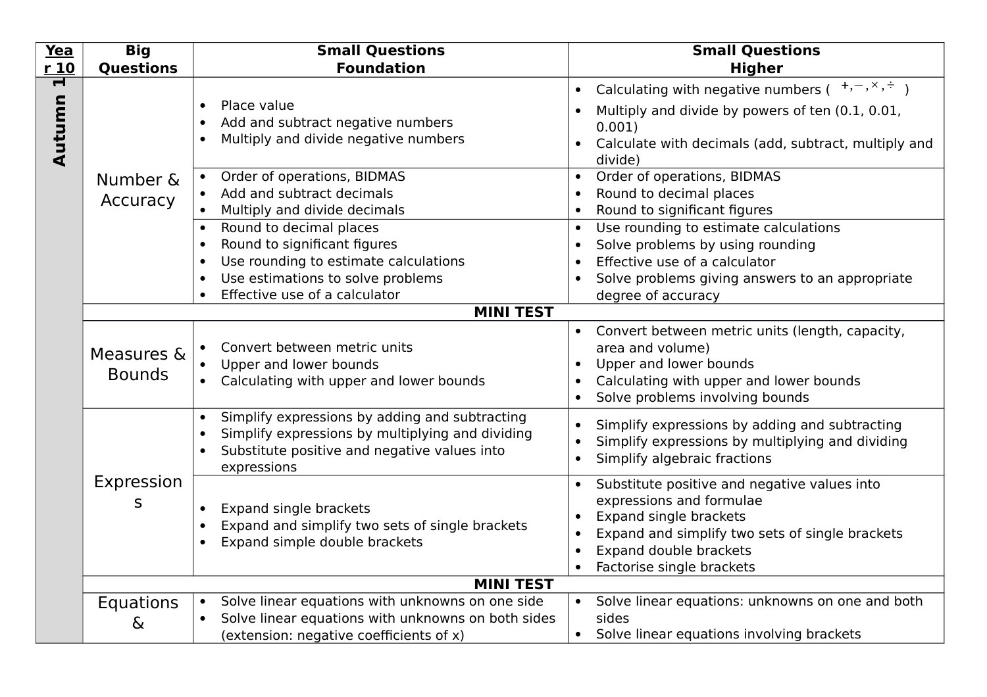| <b>Yea</b>  | <b>Big</b>                   | <b>Small Questions</b>                                                                                                                                                                                                                                                                                                                                                                                                                                    | <b>Small Questions</b>                                                                                                                                                                                                                                                                                                                                                                                                                                                                                                                                 |
|-------------|------------------------------|-----------------------------------------------------------------------------------------------------------------------------------------------------------------------------------------------------------------------------------------------------------------------------------------------------------------------------------------------------------------------------------------------------------------------------------------------------------|--------------------------------------------------------------------------------------------------------------------------------------------------------------------------------------------------------------------------------------------------------------------------------------------------------------------------------------------------------------------------------------------------------------------------------------------------------------------------------------------------------------------------------------------------------|
| r10         | <b>Questions</b>             | <b>Foundation</b>                                                                                                                                                                                                                                                                                                                                                                                                                                         | <b>Higher</b>                                                                                                                                                                                                                                                                                                                                                                                                                                                                                                                                          |
| 1<br>Autumn | Number &<br>Accuracy         | Place value<br>$\bullet$<br>Add and subtract negative numbers<br>$\bullet$<br>Multiply and divide negative numbers<br>$\bullet$<br>Order of operations, BIDMAS<br>Add and subtract decimals<br>Multiply and divide decimals<br>Round to decimal places<br>Round to significant figures<br>$\bullet$<br>Use rounding to estimate calculations<br>$\bullet$<br>Use estimations to solve problems<br>$\bullet$<br>Effective use of a calculator<br>$\bullet$ | Calculating with negative numbers $($ $+,$ - $,$ $\times,$ $,$ $+)$<br>$\bullet$<br>Multiply and divide by powers of ten (0.1, 0.01,<br>0.001)<br>Calculate with decimals (add, subtract, multiply and<br>divide)<br>Order of operations, BIDMAS<br>Round to decimal places<br>$\bullet$<br>Round to significant figures<br>$\bullet$<br>Use rounding to estimate calculations<br>$\bullet$<br>Solve problems by using rounding<br>$\bullet$<br>Effective use of a calculator<br>Solve problems giving answers to an appropriate<br>degree of accuracy |
|             |                              | <b>MINI TEST</b>                                                                                                                                                                                                                                                                                                                                                                                                                                          |                                                                                                                                                                                                                                                                                                                                                                                                                                                                                                                                                        |
|             | Measures &<br><b>Bounds</b>  | Convert between metric units<br>Upper and lower bounds<br>Calculating with upper and lower bounds                                                                                                                                                                                                                                                                                                                                                         | Convert between metric units (length, capacity,<br>area and volume)<br>Upper and lower bounds<br>$\bullet$<br>Calculating with upper and lower bounds<br>Solve problems involving bounds                                                                                                                                                                                                                                                                                                                                                               |
|             |                              | Simplify expressions by adding and subtracting<br>$\bullet$<br>Simplify expressions by multiplying and dividing<br>$\bullet$<br>Substitute positive and negative values into<br>$\bullet$<br>expressions                                                                                                                                                                                                                                                  | Simplify expressions by adding and subtracting<br>$\bullet$<br>Simplify expressions by multiplying and dividing<br>$\bullet$<br>Simplify algebraic fractions<br>$\bullet$                                                                                                                                                                                                                                                                                                                                                                              |
|             | Expression<br>S              | Expand single brackets<br>Expand and simplify two sets of single brackets<br>Expand simple double brackets                                                                                                                                                                                                                                                                                                                                                | Substitute positive and negative values into<br>expressions and formulae<br>Expand single brackets<br>Expand and simplify two sets of single brackets<br>Expand double brackets<br>Factorise single brackets                                                                                                                                                                                                                                                                                                                                           |
|             |                              | <b>MINI TEST</b>                                                                                                                                                                                                                                                                                                                                                                                                                                          |                                                                                                                                                                                                                                                                                                                                                                                                                                                                                                                                                        |
|             | <b>Equations</b><br>$\delta$ | Solve linear equations with unknowns on one side<br>$\bullet$<br>Solve linear equations with unknowns on both sides<br>(extension: negative coefficients of x)                                                                                                                                                                                                                                                                                            | • Solve linear equations: unknowns on one and both<br>sides<br>• Solve linear equations involving brackets                                                                                                                                                                                                                                                                                                                                                                                                                                             |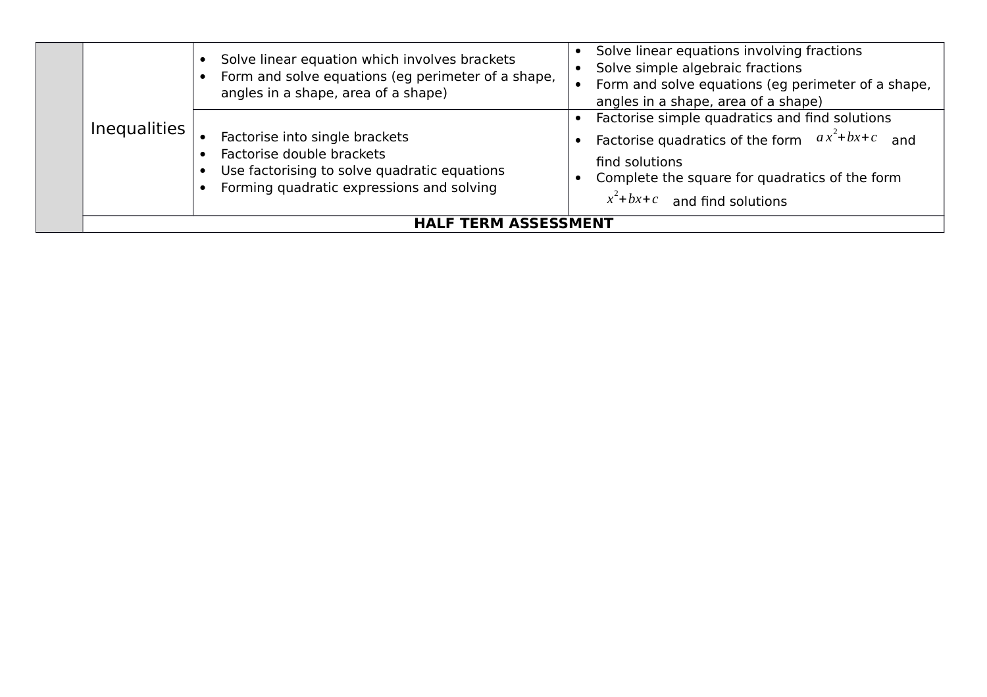|                     | Solve linear equation which involves brackets<br>Form and solve equations (eg perimeter of a shape,<br>angles in a shape, area of a shape)               | Solve linear equations involving fractions<br>Solve simple algebraic fractions<br>Form and solve equations (eg perimeter of a shape,<br>angles in a shape, area of a shape)                                 |  |
|---------------------|----------------------------------------------------------------------------------------------------------------------------------------------------------|-------------------------------------------------------------------------------------------------------------------------------------------------------------------------------------------------------------|--|
| <b>Inequalities</b> | Factorise into single brackets<br>Factorise double brackets<br>Use factorising to solve quadratic equations<br>Forming quadratic expressions and solving | Factorise simple quadratics and find solutions<br>Factorise quadratics of the form $ax^2 + bx + c$ and<br>find solutions<br>Complete the square for quadratics of the form<br>$x^2+bx+c$ and find solutions |  |
|                     | <b>HALF TERM ASSESSMENT</b>                                                                                                                              |                                                                                                                                                                                                             |  |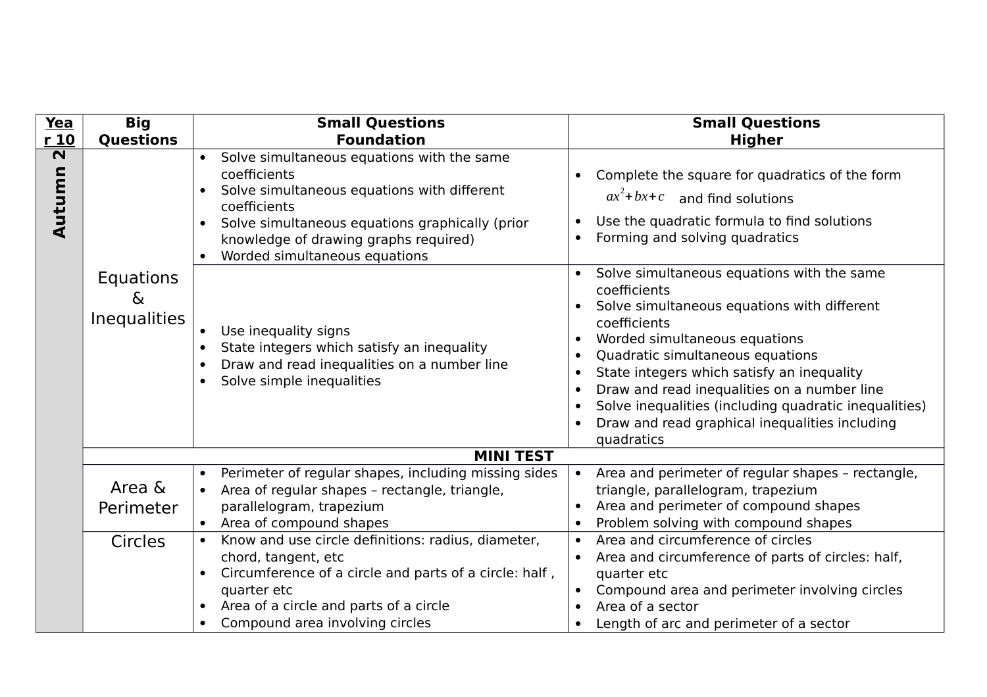| Yea                               | <b>Big</b>                                   | <b>Small Questions</b>                                                                                                                                                                                                                                                           | <b>Small Questions</b>                                                                                                                                                                                                                                                                                                                                                                                                                                                                                          |
|-----------------------------------|----------------------------------------------|----------------------------------------------------------------------------------------------------------------------------------------------------------------------------------------------------------------------------------------------------------------------------------|-----------------------------------------------------------------------------------------------------------------------------------------------------------------------------------------------------------------------------------------------------------------------------------------------------------------------------------------------------------------------------------------------------------------------------------------------------------------------------------------------------------------|
| r 10                              | <b>Questions</b>                             | <b>Foundation</b>                                                                                                                                                                                                                                                                | <b>Higher</b>                                                                                                                                                                                                                                                                                                                                                                                                                                                                                                   |
| $\overline{\mathbf{N}}$<br>Autumn |                                              | Solve simultaneous equations with the same<br>$\bullet$<br>coefficients<br>Solve simultaneous equations with different<br>$\bullet$<br>coefficients<br>Solve simultaneous equations graphically (prior<br>knowledge of drawing graphs required)<br>Worded simultaneous equations | Complete the square for quadratics of the form<br>$\bullet$<br>$ax^2+bx+c$ and find solutions<br>Use the quadratic formula to find solutions<br>$\bullet$<br>Forming and solving quadratics<br>$\bullet$                                                                                                                                                                                                                                                                                                        |
|                                   | Equations<br>$\delta$<br><b>Inequalities</b> | Use inequality signs<br>State integers which satisfy an inequality<br>Draw and read inequalities on a number line<br>$\bullet$<br>Solve simple inequalities<br>$\bullet$                                                                                                         | Solve simultaneous equations with the same<br>$\bullet$<br>coefficients<br>Solve simultaneous equations with different<br>coefficients<br>Worded simultaneous equations<br>$\bullet$<br>Quadratic simultaneous equations<br>$\bullet$<br>State integers which satisfy an inequality<br>$\bullet$<br>Draw and read inequalities on a number line<br>$\bullet$<br>Solve inequalities (including quadratic inequalities)<br>$\bullet$<br>Draw and read graphical inequalities including<br>$\bullet$<br>quadratics |
|                                   |                                              | <b>MINI TEST</b>                                                                                                                                                                                                                                                                 |                                                                                                                                                                                                                                                                                                                                                                                                                                                                                                                 |
|                                   | Area &<br>Perimeter                          | Perimeter of regular shapes, including missing sides<br>$\bullet$<br>Area of regular shapes - rectangle, triangle,<br>parallelogram, trapezium<br>Area of compound shapes                                                                                                        | Area and perimeter of regular shapes - rectangle,<br>$\bullet$<br>triangle, parallelogram, trapezium<br>Area and perimeter of compound shapes<br>$\bullet$<br>Problem solving with compound shapes<br>$\bullet$                                                                                                                                                                                                                                                                                                 |
|                                   | <b>Circles</b>                               | Know and use circle definitions: radius, diameter,<br>$\bullet$<br>chord, tangent, etc<br>Circumference of a circle and parts of a circle: half,<br>$\bullet$<br>quarter etc<br>Area of a circle and parts of a circle<br>Compound area involving circles<br>$\bullet$           | Area and circumference of circles<br>$\bullet$<br>Area and circumference of parts of circles: half,<br>$\bullet$<br>quarter etc<br>Compound area and perimeter involving circles<br>$\bullet$<br>Area of a sector<br>Length of arc and perimeter of a sector<br>$\bullet$                                                                                                                                                                                                                                       |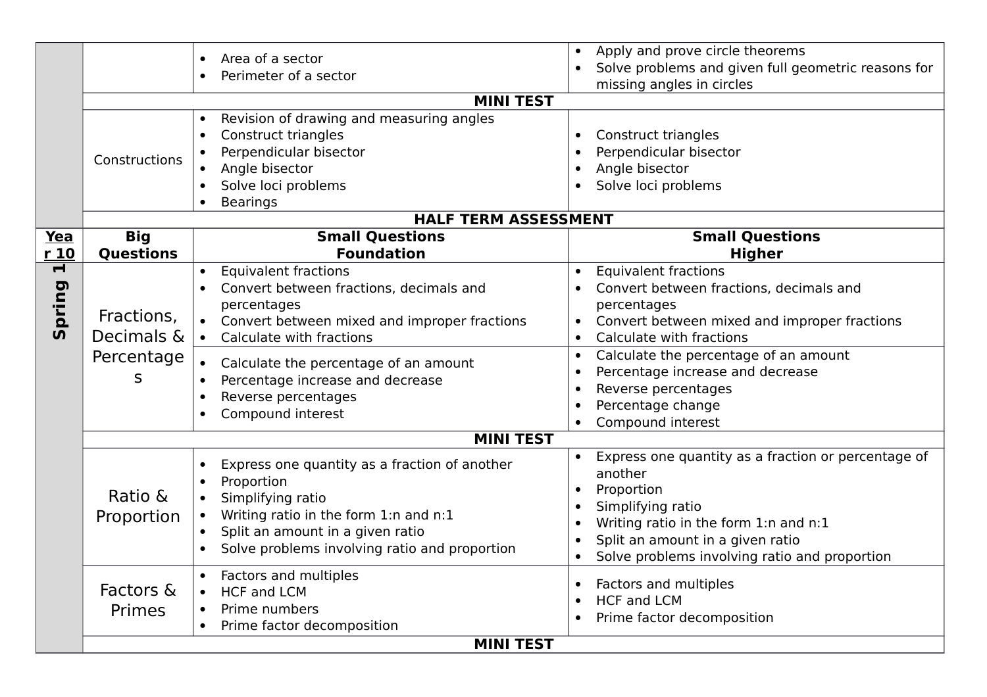|                                   |                                             | Area of a sector<br>Perimeter of a sector<br>$\bullet$<br><b>MINI TEST</b><br>Revision of drawing and measuring angles<br>$\bullet$<br><b>Construct triangles</b><br>$\bullet$                                                                                                                                       | Apply and prove circle theorems<br>$\bullet$<br>Solve problems and given full geometric reasons for<br>missing angles in circles<br><b>Construct triangles</b><br>$\bullet$                                                                                                                                                                                                                                |
|-----------------------------------|---------------------------------------------|----------------------------------------------------------------------------------------------------------------------------------------------------------------------------------------------------------------------------------------------------------------------------------------------------------------------|------------------------------------------------------------------------------------------------------------------------------------------------------------------------------------------------------------------------------------------------------------------------------------------------------------------------------------------------------------------------------------------------------------|
|                                   | Constructions                               | Perpendicular bisector<br>Angle bisector<br>$\bullet$<br>Solve loci problems<br>$\bullet$<br><b>Bearings</b><br>$\bullet$                                                                                                                                                                                            | Perpendicular bisector<br>$\bullet$<br>Angle bisector<br>Solve loci problems                                                                                                                                                                                                                                                                                                                               |
|                                   |                                             | <b>HALF TERM ASSESSMENT</b>                                                                                                                                                                                                                                                                                          |                                                                                                                                                                                                                                                                                                                                                                                                            |
| Yea<br>$r_1$ 10                   | <b>Big</b><br><b>Questions</b>              | <b>Small Questions</b><br><b>Foundation</b>                                                                                                                                                                                                                                                                          | <b>Small Questions</b><br><b>Higher</b>                                                                                                                                                                                                                                                                                                                                                                    |
| $\overline{\mathbf{r}}$<br>Spring | Fractions,<br>Decimals &<br>Percentage<br>S | <b>Equivalent fractions</b><br>Convert between fractions, decimals and<br>percentages<br>Convert between mixed and improper fractions<br>Calculate with fractions<br>Calculate the percentage of an amount<br>Percentage increase and decrease<br>Reverse percentages<br>$\bullet$<br>Compound interest<br>$\bullet$ | <b>Equivalent fractions</b><br>$\bullet$<br>Convert between fractions, decimals and<br>percentages<br>Convert between mixed and improper fractions<br>Calculate with fractions<br>$\bullet$<br>Calculate the percentage of an amount<br>$\bullet$<br>Percentage increase and decrease<br>$\bullet$<br>Reverse percentages<br>$\bullet$<br>Percentage change<br>$\bullet$<br>Compound interest<br>$\bullet$ |
|                                   | Ratio &<br>Proportion                       | <b>MINI TEST</b><br>Express one quantity as a fraction of another<br>$\bullet$<br>Proportion<br>$\bullet$<br>Simplifying ratio<br>$\bullet$<br>Writing ratio in the form 1:n and n:1<br>Split an amount in a given ratio<br>$\bullet$<br>Solve problems involving ratio and proportion<br>$\bullet$                  | Express one quantity as a fraction or percentage of<br>$\bullet$<br>another<br>Proportion<br>$\bullet$<br>Simplifying ratio<br>$\bullet$<br>Writing ratio in the form 1:n and n:1<br>$\bullet$<br>Split an amount in a given ratio<br>$\bullet$<br>Solve problems involving ratio and proportion<br>$\bullet$                                                                                              |
|                                   | Factors &<br>Primes                         | Factors and multiples<br><b>HCF and LCM</b><br>$\bullet$<br>Prime numbers<br>Prime factor decomposition<br>$\bullet$<br><b>MINI TEST</b>                                                                                                                                                                             | Factors and multiples<br>$\bullet$<br><b>HCF and LCM</b><br>$\bullet$<br>Prime factor decomposition<br>$\bullet$                                                                                                                                                                                                                                                                                           |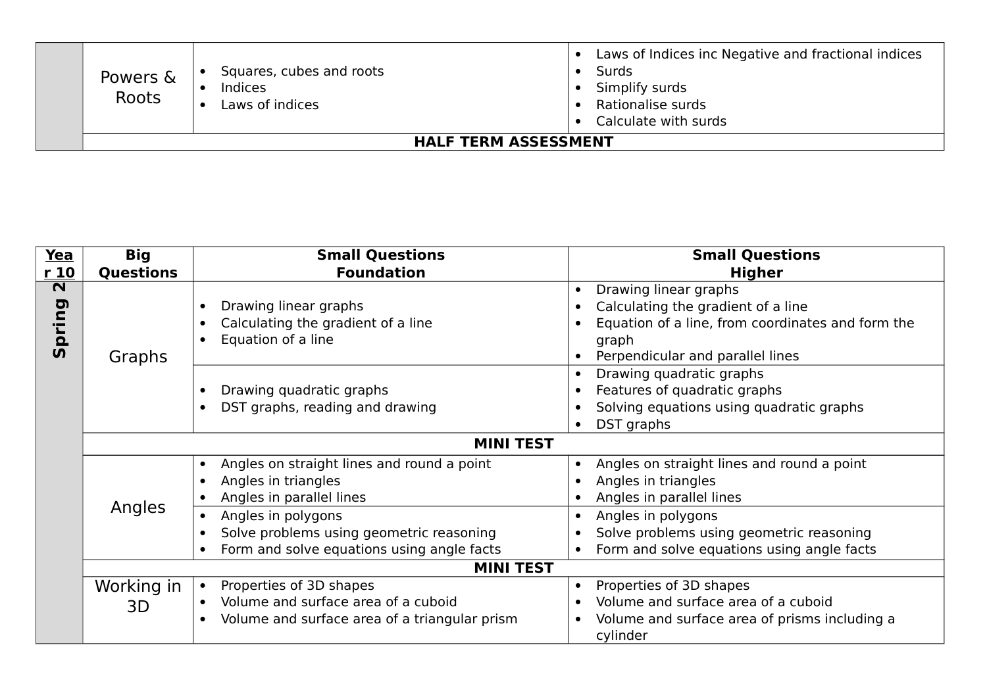| Powers &<br>Roots | Squares, cubes and roots<br><b>Indices</b><br>Laws of indices | $\bullet$ | Laws of Indices inc Negative and fractional indices<br>Surds<br>Simplify surds<br>Rationalise surds<br>Calculate with surds |
|-------------------|---------------------------------------------------------------|-----------|-----------------------------------------------------------------------------------------------------------------------------|
|                   | <b>HALF TERM ASSESSMENT</b>                                   |           |                                                                                                                             |

| Yea                     | <b>Big</b>       | <b>Small Questions</b>                                     | <b>Small Questions</b>                                     |
|-------------------------|------------------|------------------------------------------------------------|------------------------------------------------------------|
| r10                     | <b>Questions</b> | <b>Foundation</b>                                          | <b>Higher</b>                                              |
| $\overline{\mathbf{z}}$ |                  |                                                            | Drawing linear graphs<br>$\bullet$                         |
|                         |                  | Drawing linear graphs                                      | Calculating the gradient of a line                         |
| pring                   |                  | Calculating the gradient of a line                         | Equation of a line, from coordinates and form the          |
|                         |                  | Equation of a line                                         | graph                                                      |
| <b>SV</b>               | Graphs           |                                                            | Perpendicular and parallel lines                           |
|                         |                  |                                                            | Drawing quadratic graphs                                   |
|                         |                  | Drawing quadratic graphs                                   | Features of quadratic graphs                               |
|                         |                  | DST graphs, reading and drawing                            | Solving equations using quadratic graphs                   |
|                         |                  |                                                            | DST graphs<br>$\bullet$                                    |
|                         |                  | <b>MINI TEST</b>                                           |                                                            |
|                         |                  | Angles on straight lines and round a point<br>$\bullet$    | Angles on straight lines and round a point                 |
|                         |                  | Angles in triangles                                        | Angles in triangles                                        |
|                         |                  | Angles in parallel lines                                   | Angles in parallel lines                                   |
|                         | Angles           | Angles in polygons                                         | Angles in polygons<br>$\bullet$                            |
|                         |                  | Solve problems using geometric reasoning                   | Solve problems using geometric reasoning                   |
|                         |                  | Form and solve equations using angle facts                 | Form and solve equations using angle facts<br>$\bullet$    |
|                         |                  | <b>MINI TEST</b>                                           |                                                            |
|                         | Working in       | Properties of 3D shapes<br>$\bullet$                       | Properties of 3D shapes<br>$\bullet$                       |
|                         | 3D               | Volume and surface area of a cuboid                        | Volume and surface area of a cuboid                        |
|                         |                  | Volume and surface area of a triangular prism<br>$\bullet$ | Volume and surface area of prisms including a<br>$\bullet$ |
|                         |                  |                                                            | cylinder                                                   |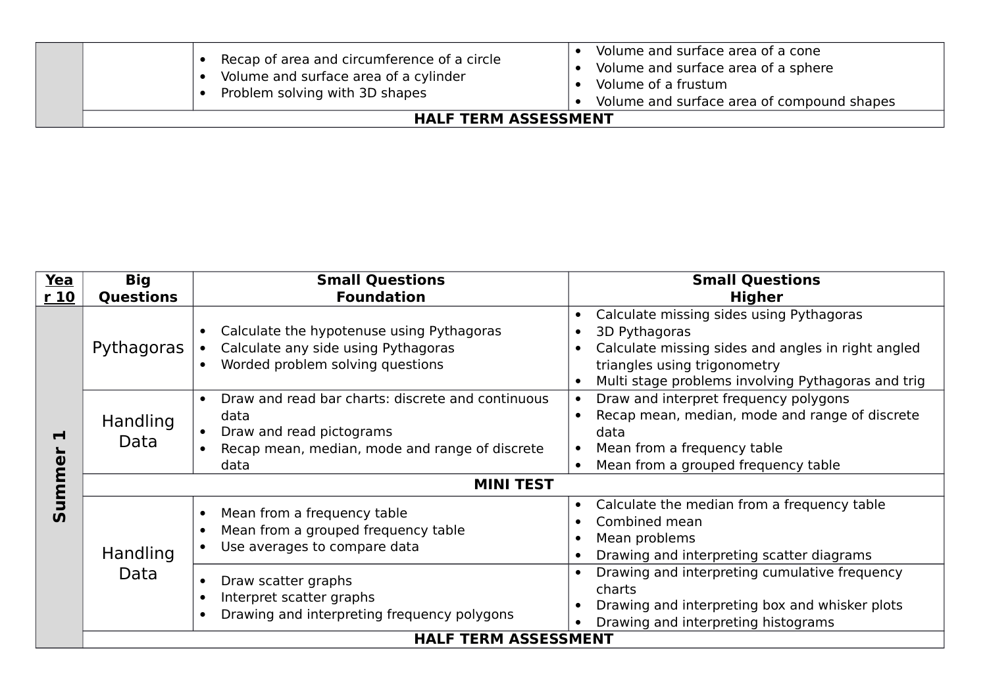| Recap of area and circumference of a circle<br>Volume and surface area of a cylinder<br>Problem solving with 3D shapes | Volume and surface area of a cone<br>Volume and surface area of a sphere<br>Volume of a frustum<br>Volume and surface area of compound shapes |  |
|------------------------------------------------------------------------------------------------------------------------|-----------------------------------------------------------------------------------------------------------------------------------------------|--|
| <b>HALF TERM ASSESSMENT</b>                                                                                            |                                                                                                                                               |  |

| Yea            | <b>Big</b>       | <b>Small Questions</b>                                                                                                                                       | <b>Small Questions</b>                                                                                                                                                                                                          |  |  |
|----------------|------------------|--------------------------------------------------------------------------------------------------------------------------------------------------------------|---------------------------------------------------------------------------------------------------------------------------------------------------------------------------------------------------------------------------------|--|--|
| r 10           | <b>Questions</b> | <b>Foundation</b>                                                                                                                                            | <b>Higher</b>                                                                                                                                                                                                                   |  |  |
|                | Pythagoras       | Calculate the hypotenuse using Pythagoras<br>$\bullet$<br>Calculate any side using Pythagoras<br>Worded problem solving questions<br>$\bullet$               | Calculate missing sides using Pythagoras<br>$\bullet$<br>3D Pythagoras<br>$\bullet$<br>Calculate missing sides and angles in right angled<br>triangles using trigonometry<br>Multi stage problems involving Pythagoras and trig |  |  |
| $\blacksquare$ | Handling<br>Data | Draw and read bar charts: discrete and continuous<br>$\bullet$<br>data<br>Draw and read pictograms<br>Recap mean, median, mode and range of discrete<br>data | Draw and interpret frequency polygons<br>$\bullet$<br>Recap mean, median, mode and range of discrete<br>data<br>Mean from a frequency table<br>Mean from a grouped frequency table<br>$\bullet$                                 |  |  |
| mme            | <b>MINI TEST</b> |                                                                                                                                                              |                                                                                                                                                                                                                                 |  |  |
| 5<br><b>SV</b> | Handling         | Mean from a frequency table<br>$\bullet$<br>Mean from a grouped frequency table<br>$\bullet$<br>Use averages to compare data<br>$\bullet$                    | Calculate the median from a frequency table<br>$\bullet$<br>Combined mean<br>Mean problems<br>$\bullet$<br>Drawing and interpreting scatter diagrams                                                                            |  |  |
|                | Data             | Draw scatter graphs<br>$\bullet$<br>Interpret scatter graphs<br>$\bullet$<br>Drawing and interpreting frequency polygons<br>$\bullet$                        | Drawing and interpreting cumulative frequency<br>charts<br>Drawing and interpreting box and whisker plots<br>Drawing and interpreting histograms                                                                                |  |  |
|                |                  | <b>HALF TERM ASSESSMENT</b>                                                                                                                                  |                                                                                                                                                                                                                                 |  |  |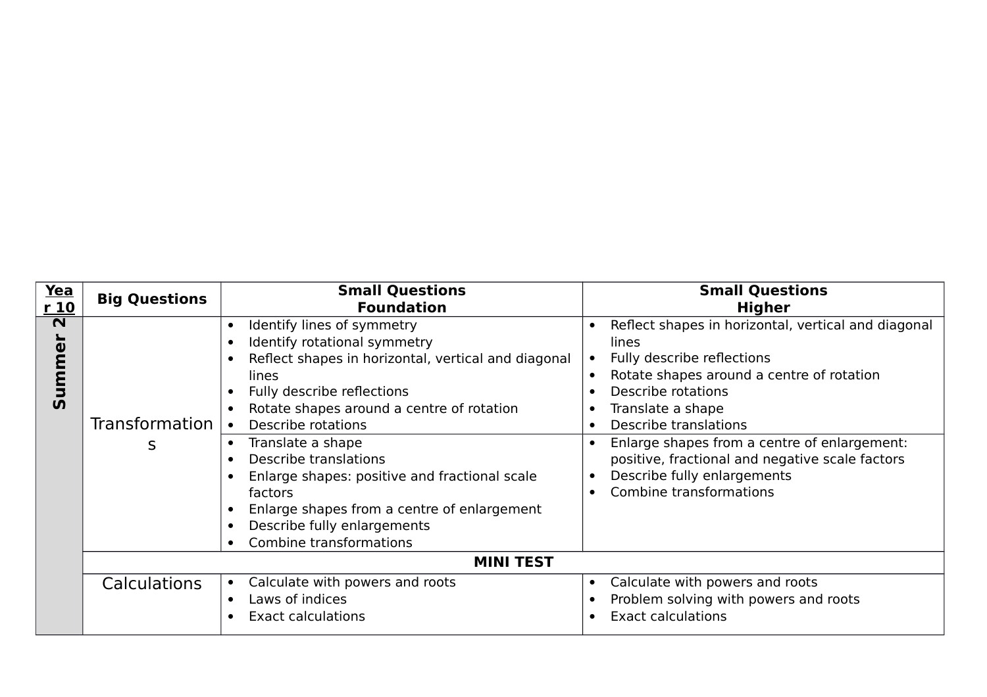| Yea<br>r <sub>10</sub>                                                    | <b>Big Questions</b>       | <b>Small Questions</b><br><b>Foundation</b>                                                                                                                                                                                                                                                                                                                                                                                                    | <b>Small Questions</b><br><b>Higher</b>                                                                                                                                                                                                                                                                                                                                  |
|---------------------------------------------------------------------------|----------------------------|------------------------------------------------------------------------------------------------------------------------------------------------------------------------------------------------------------------------------------------------------------------------------------------------------------------------------------------------------------------------------------------------------------------------------------------------|--------------------------------------------------------------------------------------------------------------------------------------------------------------------------------------------------------------------------------------------------------------------------------------------------------------------------------------------------------------------------|
| $\overline{\mathbf{N}}$<br>$\overline{\mathbf{v}}$<br>m<br>D<br>$\bar{v}$ | <b>Transformation</b><br>S | Identify lines of symmetry<br>Identify rotational symmetry<br>Reflect shapes in horizontal, vertical and diagonal<br>lines<br>Fully describe reflections<br>Rotate shapes around a centre of rotation<br>Describe rotations<br>Translate a shape<br>Describe translations<br>Enlarge shapes: positive and fractional scale<br>factors<br>Enlarge shapes from a centre of enlargement<br>Describe fully enlargements<br>Combine transformations | Reflect shapes in horizontal, vertical and diagonal<br>lines<br>Fully describe reflections<br>Rotate shapes around a centre of rotation<br>Describe rotations<br>Translate a shape<br>Describe translations<br>Enlarge shapes from a centre of enlargement:<br>positive, fractional and negative scale factors<br>Describe fully enlargements<br>Combine transformations |
|                                                                           |                            | <b>MINI TEST</b>                                                                                                                                                                                                                                                                                                                                                                                                                               |                                                                                                                                                                                                                                                                                                                                                                          |
|                                                                           | Calculations               | Calculate with powers and roots<br>Laws of indices<br><b>Exact calculations</b>                                                                                                                                                                                                                                                                                                                                                                | Calculate with powers and roots<br>$\bullet$<br>Problem solving with powers and roots<br><b>Exact calculations</b>                                                                                                                                                                                                                                                       |